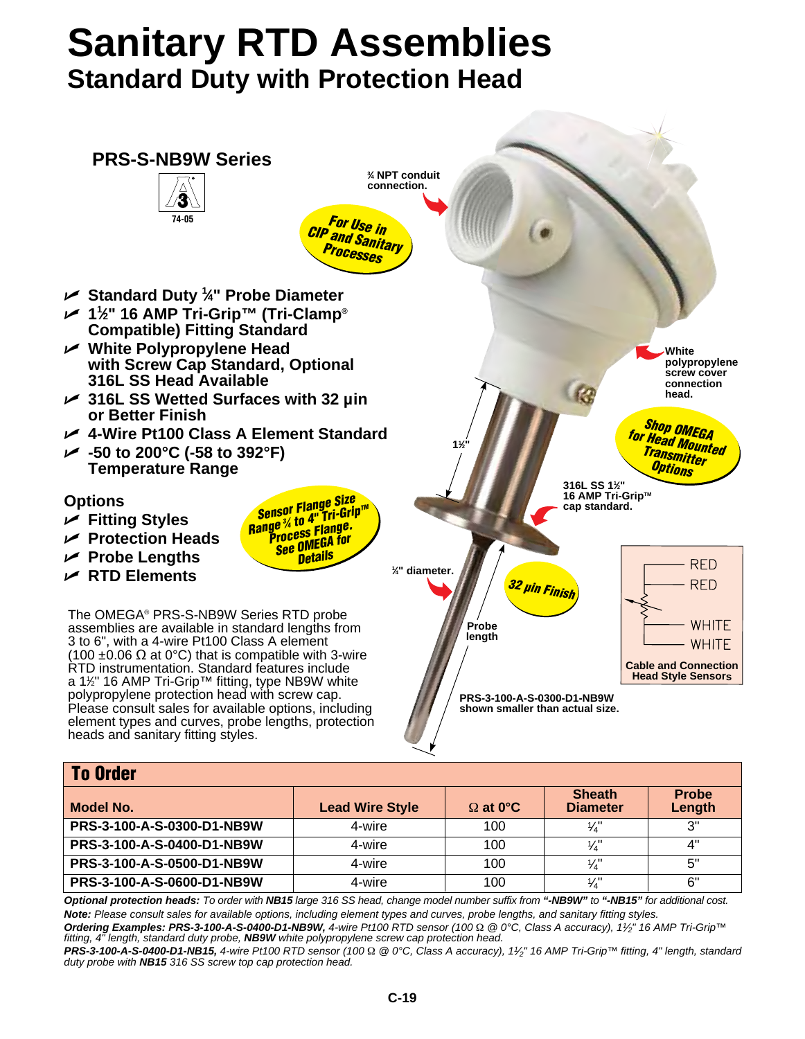## **Sanitary RTD Assemblies Standard Duty with Protection Head**



| <b>To Order</b>            |                        |                 |                                  |                        |  |  |
|----------------------------|------------------------|-----------------|----------------------------------|------------------------|--|--|
| Model No.                  | <b>Lead Wire Style</b> | $\Omega$ at 0°C | <b>Sheath</b><br><b>Diameter</b> | <b>Probe</b><br>Length |  |  |
| PRS-3-100-A-S-0300-D1-NB9W | 4-wire                 | 100             | $\frac{1}{4}$                    | ייפ                    |  |  |
| PRS-3-100-A-S-0400-D1-NB9W | 4-wire                 | 100             | $\frac{1}{4}$                    | ⊿"                     |  |  |
| PRS-3-100-A-S-0500-D1-NB9W | 4-wire                 | 100             | $\frac{1}{4}$                    | 5"                     |  |  |
| PRS-3-100-A-S-0600-D1-NB9W | 4-wire                 | 100             | $\frac{1}{4}$                    | 6"                     |  |  |

*Optional protection heads: To order with NB15 large 316 SS head, change model number suffix from "-NB9W" to "-NB15" for additional cost. Note: Please consult sales for available options, including element types and curves, probe lengths, and sanitary fitting styles.*

*Ordering Examples: PRS-3-100-A-S-0400-D1-NB9W, 4-wire Pt100 RTD sensor (100* Ω *@ 0°C, Class A accuracy), 11⁄2" 16 AMP Tri-Grip™ fitting, 4" length, standard duty probe, NB9W white polypropylene screw cap protection head.*

*PRS-3-100-A-S-0400-D1-NB15, 4-wire Pt100 RTD sensor (100* Ω *@ 0°C, Class A accuracy), 11⁄2" 16 AMP Tri-Grip™ fitting, 4" length, standard duty probe with NB15 316 SS screw top cap protection head.*